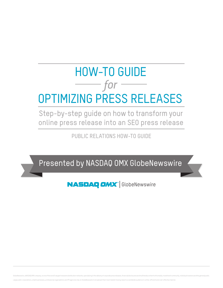# *for*  HOW-TO GUIDE OPTIMIZING PRESS RELEASES

Step-by-step guide on how to transform your online press release into an SEO press release

PUBLIC RELATIONS HOW-TO GUIDE

Presented by NASDAQ OMX GlobeNewswire

**NASDAQ OMX** GlobeNewswire

GlobeNewswire, a NASDAQ OMX company, is one of the world's largest newswire distribution networks, specializing in the delivery of corporate press releases, financial disclosures and multimedia content to the media, invest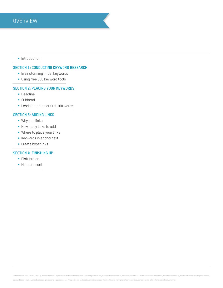# • Introduction

# **Section 1: Conducting keyword research**

- Brainstorming initial keywords
- § Using free SEO keyword tools

# **Section 2: Placing your keywords**

- § Headline
- § Subhead
- § Lead paragraph or first 100 words

# **Section 3: Adding links**

- § Why add links
- § How many links to add
- § Where to place your links
- § Keywords in anchor text
- § Create hyperlinks

# **Section 4: Finishing up**

- Distribution
- Measurement

GlobeNewswire, a NASDAQ OMX company, is one of the world's largest newswire distribution networks, specializing in the delivery of corporate press releases, financial disclosures and multimedia content to the media, invest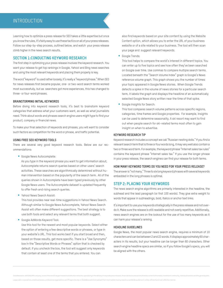Learning how to optimize a press release for SEO takes a little expertise but once you know the rules, it's fairly easy to use these tactics on all of your press releases. Follow our step-by-step process, outlined below, and watch your press release climb higher in the news search results.

# **Section 1:Conducting keyword research**

The first step in optimizing your press release involves the keyword research. You want your release to get top rankings in Google, Yahoo! and Bing news searches and using the most relevant keywords and placing them properly is key.

The word "keyword" is used rather loosely; it's really a "keyword phrase." When SEO for news releases first became popular, one- or two-word search terms worked most successfully, but as searchers got more experiences, this has changed to three- or four-word phrases.

#### **Brainstorming initial keywords**

Before diving into keyword research tools, it's best to brainstorm keyword categories that address what your customers want, as well as what journalists need. Think about words and phrases search engine users might type to find your product, company or financial news.

To make your final selection of keywords and phrases, you will want to consider such factors as competition for the word or phrase, and traffic potential.

#### **Using free SEO keyword tools**

There are several very good keyword research tools. Below are our recommendations:

■ Google News Autocomplete:

As you type in the keyword phrase you want to get information about, Autocomplete returns search queries based on other users' search activities. These searches are algorithmically determined without human intervention based on the popularity of the search term. All of the queries shown in Autocomplete have been typed previously by other Google News users. The Autocomplete dataset is updated frequently to offer fresh and rising search queries.

Yahoo! News Search Assist:

This tool provides near real-time suggestions in Yahoo! News Search. Although similar to Google News Autocomplete, Yahoo! News Search Assist will often make different suggestions. The best strategy is to use both tools and select any relevant terms that both suggest.

§ Google AdWords Keyword Tool:

Use this tool for the newest and most popular keywords. Select either the option of entering a few descriptive words or phrases, or type in your website's URL. This tool works best if you start broad and then, based on those results, get more specific. There is a "Use Synonyms" box in the "Descriptive Words or Phrases" option that is checked by default. If you uncheck the box, the tool will suggest only keywords that contain at least one of the terms that you entered. You can

also find keywords based on your site content by using the Website Content option, which allows you to enter the URL of your business website or of a site related to your business. The tool will then scan your page and suggest relevant keywords.

■ Google Trends:

This tool helps to compare the world's interest in different topics. You can enter up to five topics and see how often they've been searched on Google over time. Use commas to compare multiple search terms. Located beneath the "Search Volume Index" graph is Google's News reference volume graph. This graph shows you the number of times your topic appeared in Google News stories. When Google Trends detects a spike in the volume of news stories for a particular search term, it labels the graph and displays the headline of an automatically selected Google News story written near the time of that spike.

§ Google Insights for Search:

This tool compares search volume patterns across specific regions, categories, time frames and Google properties. For example, Insights can be used to determine seasonality. A ski resort may want to find out when people search for ski-related terms most often to gain insight on when to advertise.

# **Keyword research tip**

Keyword research includes a concept we call "Russian nesting dolls." If you find a relevant search term that is three or four words long, it may very well also contain a two or three word term. For example, the keyword phrase "Internet sales tax rules" contains the keyword phrase "Internet sales tax." If you use the longer phrase in your press release, the search engines can find your release for both terms.

#### **How many keyword terms do you need for your press release?**

The answer is "not many." Three to six long keyword phrases with several keywords embedded in the long phrases is optimal.

# **Step 2: Placing your keywords**

The news search engine algorithms are primarily interested in the headline, the subhead and the lead paragraph (or first 100 words). They give extra weight to words that appear in subheadings, bold, italics or anchor text links.

It's important to use your keywords strategically in the press release and not overdo it. Make sure the release is still readable and not overly repetitive. Additionally, news search engines are on the lookout for the use of too many keywords as it can harm your release's ranking.

### **Headline guidelines**

Google News, the most popular news search engine, requires a minimum of 10 characters and can be between 2 and 22 words. It displays approximately 60 characters in its results, but your headline can be longer than 60 characters. Other search engine headline specs are similar, so if you follow Google's specs, you will be aligned with the others.

GlobeNewswire, a NASDAQ OMX company, is one of the world's largest newswire distribution networks, specializing in the delivery of corporate press releases, financial disclosures and multimedia content to the media, invest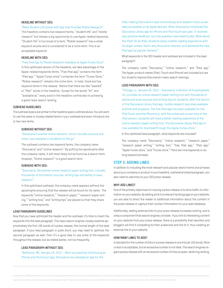# **Headline without SEO:**

#### "Make Student Life Easier with App that Provides Mobile Research"

This headline contains two keyword terms, "student life" and "mobile research" but misses a big opportunity to use Apple-related keywords. "Student life" is too broad of a term. "Mobile research" has a small keyword volume and is considered to be a niche term. This is an acceptable keyword.

#### **Headline with SEO:**

"Free iPad App for Mobile Research Available at Apple iTunes Store"

In this optimized version of the headline, we take advantage of the Apple-related keywords terms. "Free iPad app" contains the term "iPad app." "Apple iTunes store" containes the term "iTunes Store." "Mobile research" remains the niche term. In total, there are five keyword terms in the release. Notice that there are few "wasted" or "filler" words in the headline. Except for the words "for" and "available at," every word in the headline contributes to achieving a good news search ranking.

#### **Subhead guidelines**

The subhead specs are similar to the headline specs outlined above. You will want to use the same or closely related terms in your subhead and even introduce one or two new terms.

## **Subhead without SEO:**

"Discoveria's premier online research, which includes sources and tools, now available to students on the go"

The subhead contains two keyword terms, the company name "Discoveria" and "online research." By putting the apostrophe after the company name, it will most likely not be found as a search term. However, "Online research" is a good search term.

#### **Subhead with SEO:**

"Discoveria, the premier online research paper writing tool, includes thousands of information sources, writing tips and ability to save research"

In this optimized subhead, the company name appears without the apostrophe ensuring that the release will be found for its name. The keywords "online research," "research paper," "research paper writing," "writing tool," and "writing tips" are placed so that they share some of the keywords.

## **Lead paragraph guidelines**

Now that you have optimized the header and the subhead, it's time to insert the keywords into the lead paragraph. The news search engines closely examine approximately the first 100 words of a press release, the normal length of the lead paragraph. If your lead paragraph is quite short, you may need to optimize the second paragraph as well. Then it's a good idea to use some of the keywords throughout the release, but as stated earlier, not too frequently.

## **Lead paragraph without SEO:**

"Baltimore, MD, January 19, 2012 – After successfully introducing an iPhone and iPod touch app, Discoveria has released an app for the

iPad, making Discoveria's vast online library and research tools universally accessible on all Apple devices. When Discoveria introduced the Discoveria Library app for iPhone and iPod touch last year, it received very positive feedback, but one question resonated loudly: What about the iPad? On an iPad, students enjoy a better reading experience with its larger screen; that's why Discoveria listened, and delivered the new iPad app by popular demand."

What keywords in the SEO header and subhead are included in the lead paragraph?

The company name "Discoveria," "online research," and "iPad app." The Apple-product names (iPad, iTouch and iPhone) are included but are too broad to improve Discoveria's news search rankings.

#### **Lead paragraph with SEO:**

"Chicago, IL, January 26, 2012 – Discoveria, a division of Encyclopeiate Inc, provides an online research paper writing tool with thousands of article and book sources and writing tips for students. With the launch of the Discoveria Library iPad app, mobile research becomes available anytime and anyplace. The free iPad app has been available for the iPod Touch and the iPhone but, with the enhanced screen size of the iPad version, students will have a better reading experience of the online research paper writing tool. The Discoveria Library iPad app is now available for download through the Apple iTunes store."

In this optimized lead paragraph, what keywords are included?

The company name "Discoveria," "online research," "research paper," "research paper writing," "writing tool," "free iPad app," "iPad app," "Apple iTunes store," and "iTunes store." There are nine keywords or six long keyword phrases.

# **Step 3: Adding links**

In addition to including the most relevant and popular search terms and phrases about your company or product in your headline, subhead and lead paragraph, you also need to add links to your SEO press release.

#### **Why add links?**

One of the primary objectives for issuing a press release is to drive traffic to information on your website. By adding a link to a relevant landing page on your website, you are able to direct the reader to additional information about the content in the press release or capture their contact information for your lead database.

Additionally, adding external links to your press release increases ranking, and is a key a component that search engines consider. If you link to interesting content on your website from your press release, there is a possibility that reporters and bloggers will find it compelling for their audiences and link to it, thus creating an external link to your website.

## **How many links to add?**

A standard for the number of links in a press release is one link per 100 words. More or less is acceptable, but an excessive number is not ideal. The search engines regard a press release with an excessive number of links as spam, deterring ranking.

GlobeNewswire, a NASDAQ OMX company, is one of the world's largest newswire distribution networks, specializing in the delivery of corporate press releases, financial disclosures and multimedia content to the media, invest